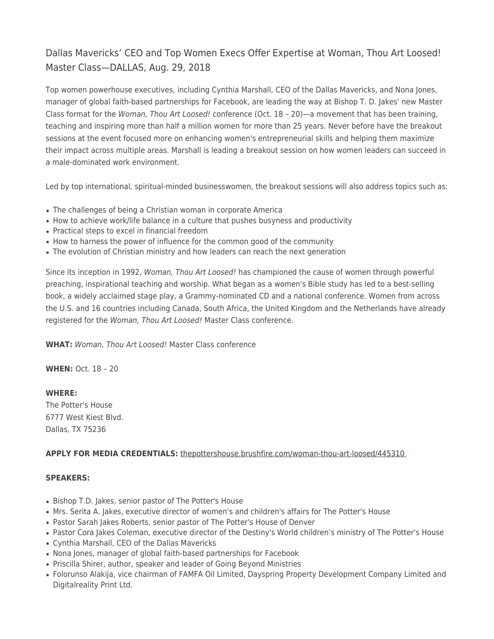# Dallas Mavericks' CEO and Top Women Execs Offer Expertise at Woman, Thou Art Loosed! Master Class—DALLAS, Aug. 29, 2018

Top women powerhouse executives, including Cynthia Marshall, CEO of the Dallas Mavericks, and Nona Jones, manager of global faith-based partnerships for Facebook, are leading the way at Bishop T. D. Jakes' new Master Class format for the Woman, Thou Art Loosed! conference (Oct. 18 – 20)—a movement that has been training, teaching and inspiring more than half a million women for more than 25 years. Never before have the breakout sessions at the event focused more on enhancing women's entrepreneurial skills and helping them maximize their impact across multiple areas. Marshall is leading a breakout session on how women leaders can succeed in a male-dominated work environment.

Led by top international, spiritual-minded businesswomen, the breakout sessions will also address topics such as:

- The challenges of being a Christian woman in corporate America
- How to achieve work/life balance in a culture that pushes busyness and productivity
- Practical steps to excel in financial freedom
- How to harness the power of influence for the common good of the community
- The evolution of Christian ministry and how leaders can reach the next generation

Since its inception in 1992, Woman, Thou Art Loosed! has championed the cause of women through powerful preaching, inspirational teaching and worship. What began as a women's Bible study has led to a best-selling book, a widely acclaimed stage play, a Grammy-nominated CD and a national conference. Women from across the U.S. and 16 countries including Canada, South Africa, the United Kingdom and the Netherlands have already registered for the Woman, Thou Art Loosed! Master Class conference.

**WHAT:** Woman, Thou Art Loosed! Master Class conference

**WHEN:** Oct. 18 – 20

**WHERE:** The Potter's House 6777 West Kiest Blvd. Dallas, TX 75236

# **APPLY FOR MEDIA CREDENTIALS:** [thepottershouse.brushfire.com/woman-thou-art-loosed/445310](https://thepottershouse.brushfire.com/woman-thou-art-loosed/445310)

## **SPEAKERS:**

- Bishop T.D. Jakes, senior pastor of The Potter's House
- Mrs. Serita A. Jakes, executive director of women's and children's affairs for The Potter's House
- Pastor Sarah Jakes Roberts, senior pastor of The Potter's House of Denver
- Pastor Cora Jakes Coleman, executive director of the Destiny's World children's ministry of The Potter's House
- Cynthia Marshall, CEO of the Dallas Mavericks
- Nona Jones, manager of global faith-based partnerships for Facebook
- Priscilla Shirer, author, speaker and leader of Going Beyond Ministries
- Folorunso Alakija, vice chairman of FAMFA Oil Limited, Dayspring Property Development Company Limited and Digitalreality Print Ltd.